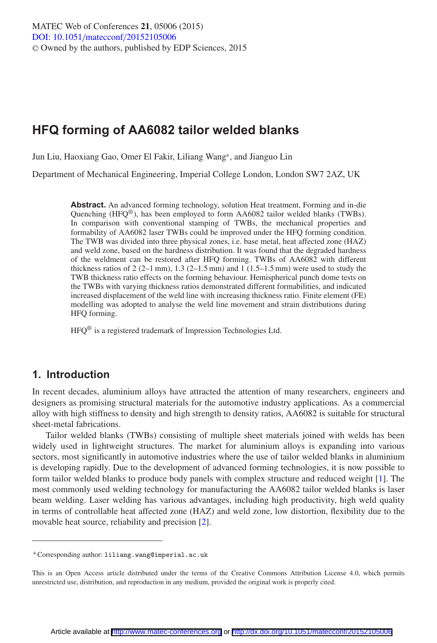# **HFQ forming of AA6082 tailor welded blanks**

Jun Liu, Haoxiang Gao, Omer El Fakir, Liliang Wang<sup>a</sup>, and Jianguo Lin

Department of Mechanical Engineering, Imperial College London, London SW7 2AZ, UK

**Abstract.** An advanced forming technology, solution Heat treatment, Forming and in-die Quenching  $(HFQ^@)$ , has been employed to form AA6082 tailor welded blanks (TWBs). In comparison with conventional stamping of TWBs, the mechanical properties and formability of AA6082 laser TWBs could be improved under the HFQ forming condition. The TWB was divided into three physical zones, i.e. base metal, heat affected zone (HAZ) and weld zone, based on the hardness distribution. It was found that the degraded hardness of the weldment can be restored after HFQ forming. TWBs of AA6082 with different thickness ratios of  $2(2-1 \text{ mm})$ ,  $1.3(2-1.5 \text{ mm})$  and  $1(1.5-1.5 \text{ mm})$  were used to study the TWB thickness ratio effects on the forming behaviour. Hemispherical punch dome tests on the TWBs with varying thickness ratios demonstrated different formabilities, and indicated increased displacement of the weld line with increasing thickness ratio. Finite element (FE) modelling was adopted to analyse the weld line movement and strain distributions during HFQ forming.

HFQ® is a registered trademark of Impression Technologies Ltd.

# **1. Introduction**

In recent decades, aluminium alloys have attracted the attention of many researchers, engineers and designers as promising structural materials for the automotive industry applications. As a commercial alloy with high stiffness to density and high strength to density ratios, AA6082 is suitable for structural sheet-metal fabrications.

Tailor welded blanks (TWBs) consisting of multiple sheet materials joined with welds has been widely used in lightweight structures. The market for aluminium alloys is expanding into various sectors, most significantly in automotive industries where the use of tailor welded blanks in aluminium is developing rapidly. Due to the development of advanced forming technologies, it is now possible to form tailor welded blanks to produce body panels with complex structure and reduced weight [\[1](#page-6-0)]. The most commonly used welding technology for manufacturing the AA6082 tailor welded blanks is laser beam welding. Laser welding has various advantages, including high productivity, high weld quality in terms of controllable heat affected zone (HAZ) and weld zone, low distortion, flexibility due to the movable heat source, reliability and precision [\[2](#page-6-1)].

<sup>a</sup> Corresponding author: liliang.wang@imperial.ac.uk

This is an Open Access article distributed under the terms of the Creative Commons Attribution License 4.0, which permits unrestricted use, distribution, and reproduction in any medium, provided the original work is properly cited.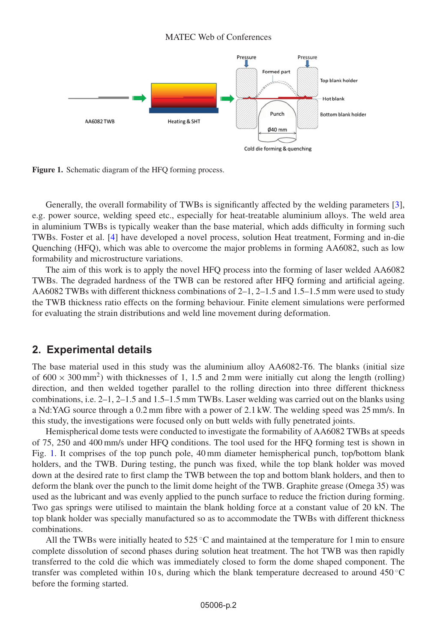<span id="page-1-0"></span>

Figure 1. Schematic diagram of the HFQ forming process.

Generally, the overall formability of TWBs is significantly affected by the welding parameters [\[3\]](#page-6-2), e.g. power source, welding speed etc., especially for heat-treatable aluminium alloys. The weld area in aluminium TWBs is typically weaker than the base material, which adds difficulty in forming such TWBs. Foster et al. [\[4\]](#page-6-3) have developed a novel process, solution Heat treatment, Forming and in-die Quenching (HFQ), which was able to overcome the major problems in forming AA6082, such as low formability and microstructure variations.

The aim of this work is to apply the novel HFQ process into the forming of laser welded AA6082 TWBs. The degraded hardness of the TWB can be restored after HFQ forming and artificial ageing. AA6082 TWBs with different thickness combinations of 2–1, 2–1.5 and 1.5–1.5 mm were used to study the TWB thickness ratio effects on the forming behaviour. Finite element simulations were performed for evaluating the strain distributions and weld line movement during deformation.

## **2. Experimental details**

The base material used in this study was the aluminium alloy AA6082-T6. The blanks (initial size of  $600 \times 300$  mm<sup>2</sup>) with thicknesses of 1, 1.5 and 2 mm were initially cut along the length (rolling) direction, and then welded together parallel to the rolling direction into three different thickness combinations, i.e. 2–1, 2–1.5 and 1.5–1.5 mm TWBs. Laser welding was carried out on the blanks using a Nd:YAG source through a 0.2 mm fibre with a power of 2.1 kW. The welding speed was 25 mm/s. In this study, the investigations were focused only on butt welds with fully penetrated joints.

Hemispherical dome tests were conducted to investigate the formability of AA6082 TWBs at speeds of 75, 250 and 400 mm/s under HFQ conditions. The tool used for the HFQ forming test is shown in Fig. [1.](#page-1-0) It comprises of the top punch pole, 40 mm diameter hemispherical punch, top/bottom blank holders, and the TWB. During testing, the punch was fixed, while the top blank holder was moved down at the desired rate to first clamp the TWB between the top and bottom blank holders, and then to deform the blank over the punch to the limit dome height of the TWB. Graphite grease (Omega 35) was used as the lubricant and was evenly applied to the punch surface to reduce the friction during forming. Two gas springs were utilised to maintain the blank holding force at a constant value of 20 kN. The top blank holder was specially manufactured so as to accommodate the TWBs with different thickness combinations.

All the TWBs were initially heated to  $525^{\circ}$ C and maintained at the temperature for 1 min to ensure complete dissolution of second phases during solution heat treatment. The hot TWB was then rapidly transferred to the cold die which was immediately closed to form the dome shaped component. The transfer was completed within 10 s, during which the blank temperature decreased to around  $450^{\circ}$ C before the forming started.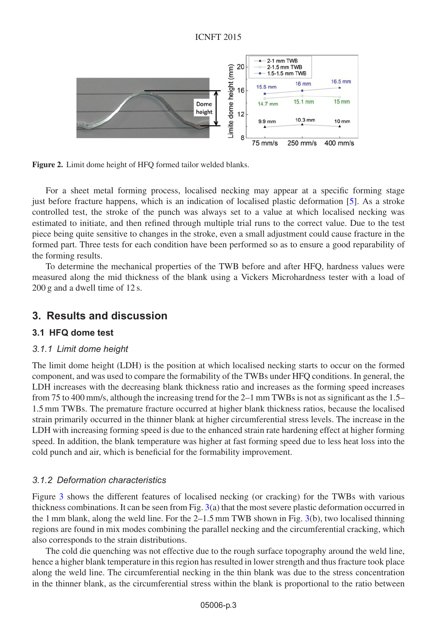<span id="page-2-0"></span>

**Figure 2.** Limit dome height of HFQ formed tailor welded blanks.

For a sheet metal forming process, localised necking may appear at a specific forming stage just before fracture happens, which is an indication of localised plastic deformation [\[5](#page-6-4)]. As a stroke controlled test, the stroke of the punch was always set to a value at which localised necking was estimated to initiate, and then refined through multiple trial runs to the correct value. Due to the test piece being quite sensitive to changes in the stroke, even a small adjustment could cause fracture in the formed part. Three tests for each condition have been performed so as to ensure a good reparability of the forming results.

To determine the mechanical properties of the TWB before and after HFQ, hardness values were measured along the mid thickness of the blank using a Vickers Microhardness tester with a load of 200 g and a dwell time of 12 s.

# **3. Results and discussion**

#### **3.1 HFQ dome test**

#### *3.1.1 Limit dome height*

The limit dome height (LDH) is the position at which localised necking starts to occur on the formed component, and was used to compare the formability of the TWBs under HFQ conditions. In general, the LDH increases with the decreasing blank thickness ratio and increases as the forming speed increases from 75 to 400 mm/s, although the increasing trend for the 2–1 mm TWBs is not as significant as the 1.5– 1.5 mm TWBs. The premature fracture occurred at higher blank thickness ratios, because the localised strain primarily occurred in the thinner blank at higher circumferential stress levels. The increase in the LDH with increasing forming speed is due to the enhanced strain rate hardening effect at higher forming speed. In addition, the blank temperature was higher at fast forming speed due to less heat loss into the cold punch and air, which is beneficial for the formability improvement.

#### *3.1.2 Deformation characteristics*

Figure [3](#page-3-0) shows the different features of localised necking (or cracking) for the TWBs with various thickness combinations. It can be seen from Fig. [3\(](#page-3-0)a) that the most severe plastic deformation occurred in the 1 mm blank, along the weld line. For the 2–1.5 mm TWB shown in Fig. [3\(](#page-3-0)b), two localised thinning regions are found in mix modes combining the parallel necking and the circumferential cracking, which also corresponds to the strain distributions.

The cold die quenching was not effective due to the rough surface topography around the weld line, hence a higher blank temperature in this region has resulted in lower strength and thus fracture took place along the weld line. The circumferential necking in the thin blank was due to the stress concentration in the thinner blank, as the circumferential stress within the blank is proportional to the ratio between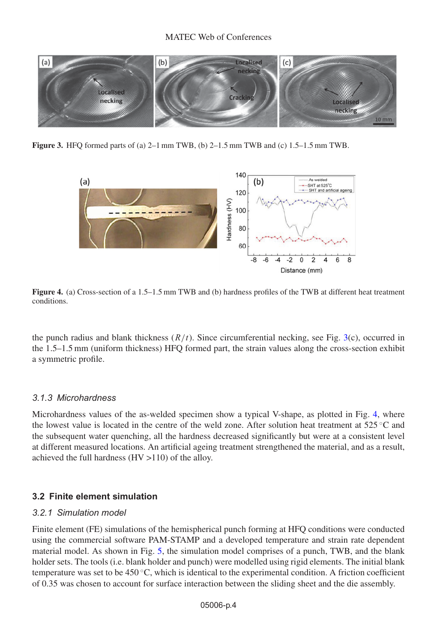<span id="page-3-0"></span>

<span id="page-3-1"></span>**Figure 3.** HFQ formed parts of (a)  $2-1$  mm TWB, (b)  $2-1.5$  mm TWB and (c)  $1.5-1.5$  mm TWB.



**Figure 4.** (a) Cross-section of a 1.5–1.5 mm TWB and (b) hardness profiles of the TWB at different heat treatment conditions.

the punch radius and blank thickness  $(R/t)$ . Since circumferential necking, see Fig. [3\(](#page-3-0)c), occurred in the 1.5–1.5 mm (uniform thickness) HFQ formed part, the strain values along the cross-section exhibit a symmetric profile.

## *3.1.3 Microhardness*

Microhardness values of the as-welded specimen show a typical V-shape, as plotted in Fig. [4,](#page-3-1) where the lowest value is located in the centre of the weld zone. After solution heat treatment at 525 ◦C and the subsequent water quenching, all the hardness decreased significantly but were at a consistent level at different measured locations. An artificial ageing treatment strengthened the material, and as a result, achieved the full hardness (HV >110) of the alloy.

## **3.2 Finite element simulation**

#### *3.2.1 Simulation model*

Finite element (FE) simulations of the hemispherical punch forming at HFQ conditions were conducted using the commercial software PAM-STAMP and a developed temperature and strain rate dependent material model. As shown in Fig. [5,](#page-4-0) the simulation model comprises of a punch, TWB, and the blank holder sets. The tools (i.e. blank holder and punch) were modelled using rigid elements. The initial blank temperature was set to be  $450^{\circ}$ C, which is identical to the experimental condition. A friction coefficient of 0.35 was chosen to account for surface interaction between the sliding sheet and the die assembly.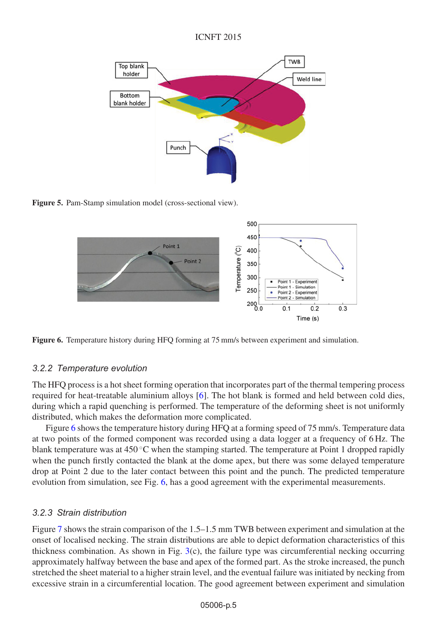ICNFT 2015

<span id="page-4-0"></span>

<span id="page-4-1"></span>**Figure 5.** Pam-Stamp simulation model (cross-sectional view).



**Figure 6.** Temperature history during HFQ forming at 75 mm/s between experiment and simulation.

#### *3.2.2 Temperature evolution*

The HFQ process is a hot sheet forming operation that incorporates part of the thermal tempering process required for heat-treatable aluminium alloys [\[6\]](#page-6-5). The hot blank is formed and held between cold dies, during which a rapid quenching is performed. The temperature of the deforming sheet is not uniformly distributed, which makes the deformation more complicated.

Figure [6](#page-4-1) shows the temperature history during HFQ at a forming speed of 75 mm/s. Temperature data at two points of the formed component was recorded using a data logger at a frequency of 6 Hz. The blank temperature was at  $450\textdegree$ C when the stamping started. The temperature at Point 1 dropped rapidly when the punch firstly contacted the blank at the dome apex, but there was some delayed temperature drop at Point 2 due to the later contact between this point and the punch. The predicted temperature evolution from simulation, see Fig. [6,](#page-4-1) has a good agreement with the experimental measurements.

#### *3.2.3 Strain distribution*

Figure [7](#page-5-0) shows the strain comparison of the 1.5–1.5 mm TWB between experiment and simulation at the onset of localised necking. The strain distributions are able to depict deformation characteristics of this thickness combination. As shown in Fig.  $3(c)$  $3(c)$ , the failure type was circumferential necking occurring approximately halfway between the base and apex of the formed part. As the stroke increased, the punch stretched the sheet material to a higher strain level, and the eventual failure was initiated by necking from excessive strain in a circumferential location. The good agreement between experiment and simulation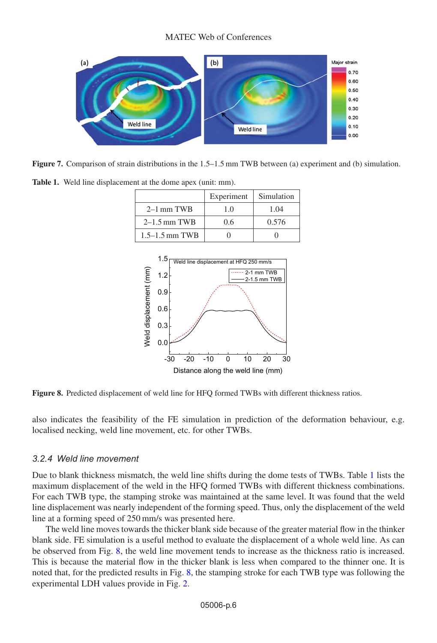#### MATEC Web of Conferences

<span id="page-5-0"></span>

**Figure 7.** Comparison of strain distributions in the 1.5–1.5 mm TWB between (a) experiment and (b) simulation.

<span id="page-5-2"></span><span id="page-5-1"></span>**Table 1.** Weld line displacement at the dome apex (unit: mm).

|                    | Experiment | Simulation |
|--------------------|------------|------------|
| $2-1$ mm TWB       | 10         | 1.04       |
| $2-1.5$ mm TWB     | 0.6        | 0.576      |
| $1.5 - 1.5$ mm TWB |            |            |



**Figure 8.** Predicted displacement of weld line for HFQ formed TWBs with different thickness ratios.

also indicates the feasibility of the FE simulation in prediction of the deformation behaviour, e.g. localised necking, weld line movement, etc. for other TWBs.

#### *3.2.4 Weld line movement*

Due to blank thickness mismatch, the weld line shifts during the dome tests of TWBs. Table [1](#page-5-1) lists the maximum displacement of the weld in the HFQ formed TWBs with different thickness combinations. For each TWB type, the stamping stroke was maintained at the same level. It was found that the weld line displacement was nearly independent of the forming speed. Thus, only the displacement of the weld line at a forming speed of 250 mm/s was presented here.

The weld line moves towards the thicker blank side because of the greater material flow in the thinker blank side. FE simulation is a useful method to evaluate the displacement of a whole weld line. As can be observed from Fig. [8,](#page-5-2) the weld line movement tends to increase as the thickness ratio is increased. This is because the material flow in the thicker blank is less when compared to the thinner one. It is noted that, for the predicted results in Fig. [8,](#page-5-2) the stamping stroke for each TWB type was following the experimental LDH values provide in Fig. [2.](#page-2-0)